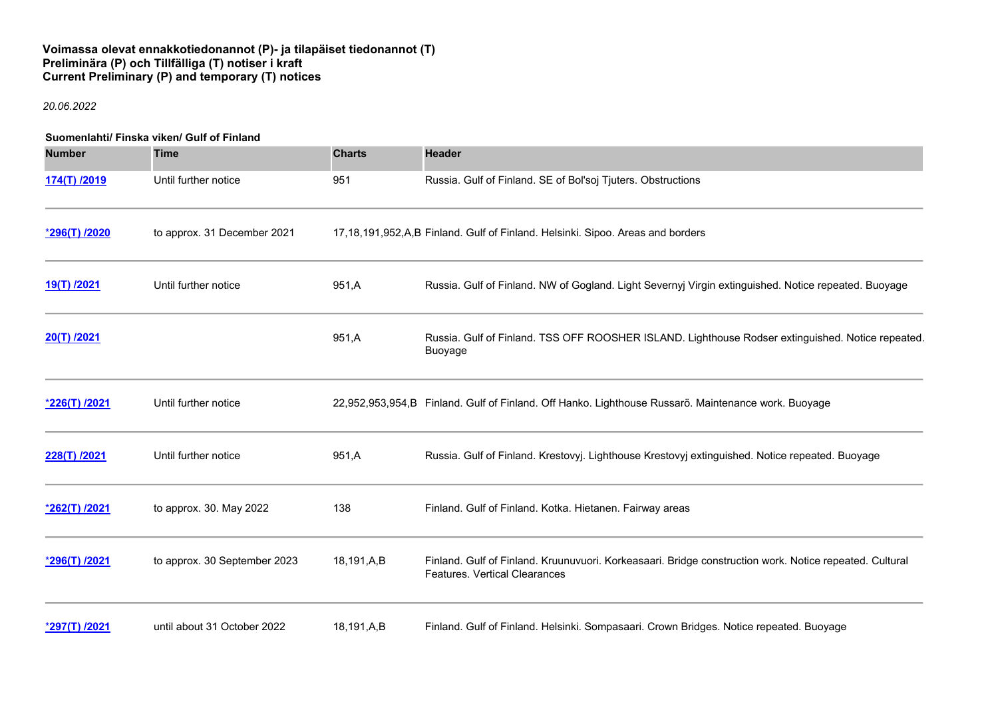## **Voimassa olevat ennakkotiedonannot (P)- ja tilapäiset tiedonannot (T) Preliminära (P) och Tillfälliga (T) notiser i kraft Current Preliminary (P) and temporary (T) notices**

#### *20.06.2022*

# **Suomenlahti/ Finska viken/ Gulf of Finland**

| <b>Number</b>   | <b>Time</b>                  | <b>Charts</b> | <b>Header</b>                                                                                                                                   |
|-----------------|------------------------------|---------------|-------------------------------------------------------------------------------------------------------------------------------------------------|
| 174(T) /2019    | Until further notice         | 951           | Russia. Gulf of Finland. SE of Bol'soj Tjuters. Obstructions                                                                                    |
| *296(T) /2020   | to approx. 31 December 2021  |               | 17,18,191,952,A,B Finland. Gulf of Finland. Helsinki. Sipoo. Areas and borders                                                                  |
| 19(T) /2021     | Until further notice         | 951,A         | Russia. Gulf of Finland. NW of Gogland. Light Severnyj Virgin extinguished. Notice repeated. Buoyage                                            |
| 20(T) /2021     |                              | 951,A         | Russia. Gulf of Finland. TSS OFF ROOSHER ISLAND. Lighthouse Rodser extinguished. Notice repeated.<br>Buoyage                                    |
| *226(T) /2021   | Until further notice         |               | 22,952,953,954,B Finland. Gulf of Finland. Off Hanko. Lighthouse Russarö. Maintenance work. Buoyage                                             |
| 228(T) /2021    | Until further notice         | 951,A         | Russia. Gulf of Finland. Krestovyj. Lighthouse Krestovyj extinguished. Notice repeated. Buoyage                                                 |
| *262(T) /2021   | to approx. 30. May 2022      | 138           | Finland. Gulf of Finland. Kotka. Hietanen. Fairway areas                                                                                        |
| *296(T) /2021   | to approx. 30 September 2023 | 18,191,A,B    | Finland. Gulf of Finland. Kruunuvuori. Korkeasaari. Bridge construction work. Notice repeated. Cultural<br><b>Features. Vertical Clearances</b> |
| $*297(T)$ /2021 | until about 31 October 2022  | 18,191,A,B    | Finland. Gulf of Finland. Helsinki. Sompasaari. Crown Bridges. Notice repeated. Buoyage                                                         |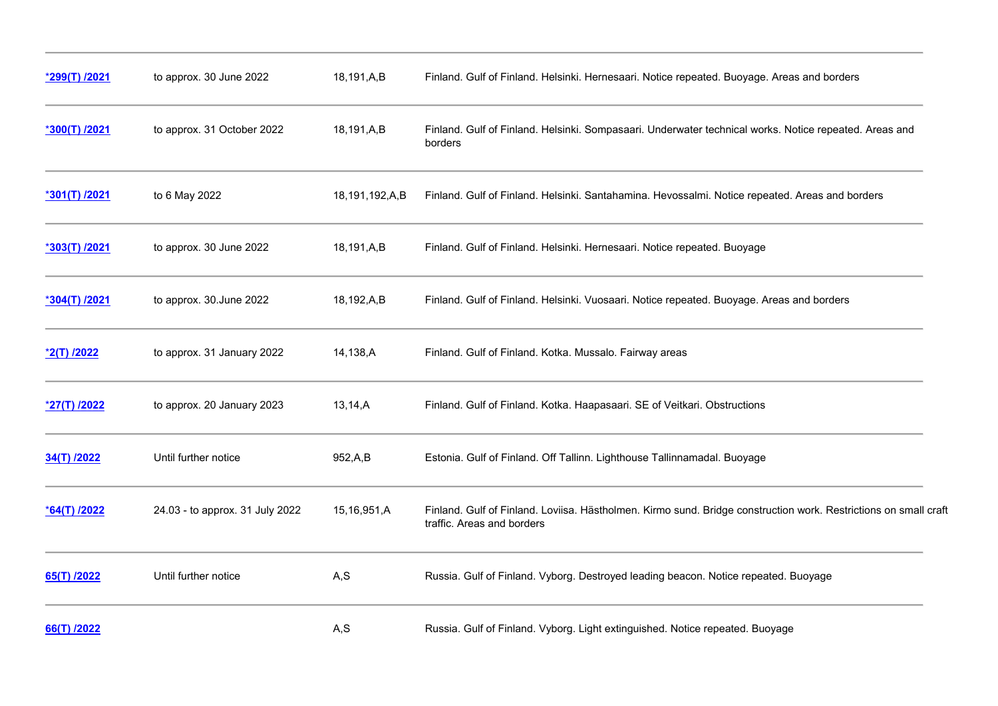| *299(T) /2021 | to approx. 30 June 2022         | 18,191,A,B     | Finland. Gulf of Finland. Helsinki. Hernesaari. Notice repeated. Buoyage. Areas and borders                                                    |
|---------------|---------------------------------|----------------|------------------------------------------------------------------------------------------------------------------------------------------------|
| *300(T) /2021 | to approx. 31 October 2022      | 18,191,A,B     | Finland. Gulf of Finland. Helsinki. Sompasaari. Underwater technical works. Notice repeated. Areas and<br>borders                              |
| *301(T) /2021 | to 6 May 2022                   | 18,191,192,A,B | Finland. Gulf of Finland. Helsinki. Santahamina. Hevossalmi. Notice repeated. Areas and borders                                                |
| *303(T) /2021 | to approx. 30 June 2022         | 18,191,A,B     | Finland. Gulf of Finland. Helsinki. Hernesaari. Notice repeated. Buoyage                                                                       |
| *304(T) /2021 | to approx. 30. June 2022        | 18,192,A,B     | Finland. Gulf of Finland. Helsinki. Vuosaari. Notice repeated. Buoyage. Areas and borders                                                      |
| *2(T) /2022   | to approx. 31 January 2022      | 14,138,A       | Finland. Gulf of Finland. Kotka. Mussalo. Fairway areas                                                                                        |
| *27(T) /2022  | to approx. 20 January 2023      | 13, 14, A      | Finland. Gulf of Finland. Kotka. Haapasaari. SE of Veitkari. Obstructions                                                                      |
| 34(T) /2022   | Until further notice            | 952,A,B        | Estonia. Gulf of Finland. Off Tallinn. Lighthouse Tallinnamadal. Buoyage                                                                       |
| *64(T) /2022  | 24.03 - to approx. 31 July 2022 | 15,16,951,A    | Finland. Gulf of Finland. Loviisa. Hästholmen. Kirmo sund. Bridge construction work. Restrictions on small craft<br>traffic. Areas and borders |
| 65(T) /2022   | Until further notice            | A, S           | Russia. Gulf of Finland. Vyborg. Destroyed leading beacon. Notice repeated. Buoyage                                                            |
| 66(T) /2022   |                                 | A, S           | Russia. Gulf of Finland. Vyborg. Light extinguished. Notice repeated. Buoyage                                                                  |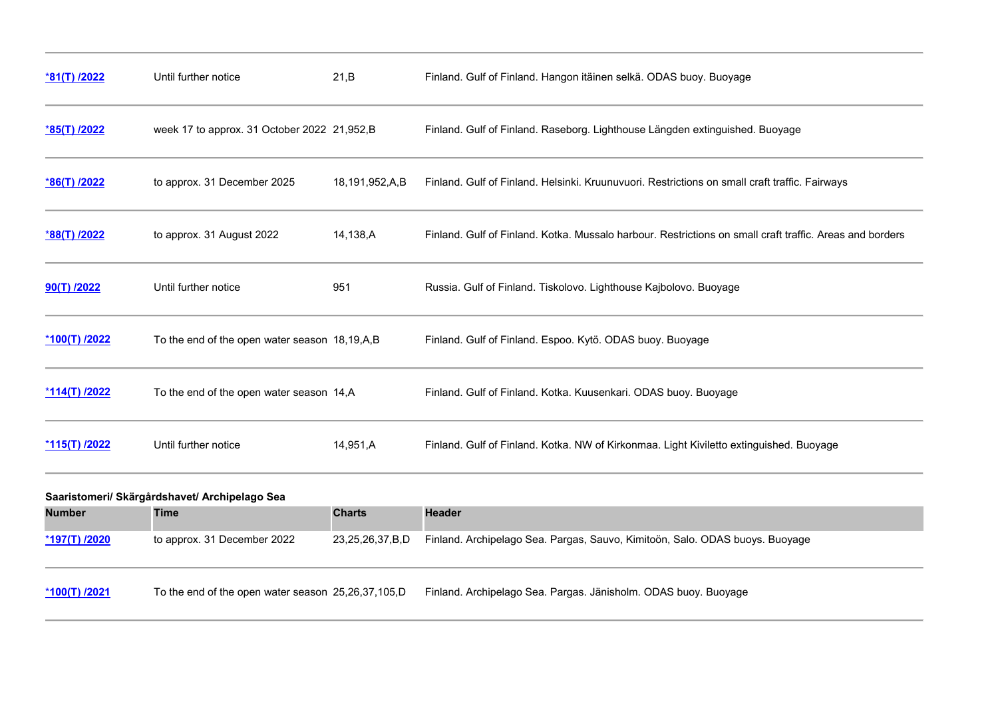| <u>*81(T) /2022</u>  | Until further notice                          | 21,B           | Finland. Gulf of Finland. Hangon itäinen selkä. ODAS buoy. Buoyage                                       |
|----------------------|-----------------------------------------------|----------------|----------------------------------------------------------------------------------------------------------|
| *85(T) /2022         | week 17 to approx. 31 October 2022 21,952,B   |                | Finland. Gulf of Finland. Raseborg. Lighthouse Längden extinguished. Buoyage                             |
| *86(T) /2022         | to approx. 31 December 2025                   | 18,191,952,A,B | Finland. Gulf of Finland. Helsinki. Kruunuvuori. Restrictions on small craft traffic. Fairways           |
| <u>*88(T) /2022</u>  | to approx. 31 August 2022                     | 14,138,A       | Finland, Gulf of Finland, Kotka, Mussalo harbour, Restrictions on small craft traffic, Areas and borders |
| $90(T)$ /2022        | Until further notice                          | 951            | Russia. Gulf of Finland. Tiskolovo. Lighthouse Kajbolovo. Buoyage                                        |
| <u>*100(T) /2022</u> | To the end of the open water season 18,19,A,B |                | Finland. Gulf of Finland. Espoo. Kytö. ODAS buoy. Buoyage                                                |
| <u>*114(T) /2022</u> | To the end of the open water season 14, A     |                | Finland. Gulf of Finland. Kotka. Kuusenkari. ODAS buoy. Buoyage                                          |
| *115(T) /2022        | Until further notice                          | 14,951,A       | Finland. Gulf of Finland. Kotka. NW of Kirkonmaa. Light Kiviletto extinguished. Buoyage                  |

| Saaristomeri/ Skärgårdshavet/ Archipelago Sea |                                                    |                 |                                                                              |  |
|-----------------------------------------------|----------------------------------------------------|-----------------|------------------------------------------------------------------------------|--|
| <b>Number</b>                                 | Time                                               | <b>Charts</b>   | <b>Header</b>                                                                |  |
| <u>*197(T) /2020</u>                          | to approx. 31 December 2022                        | 23,25,26,37,B,D | Finland. Archipelago Sea. Pargas, Sauvo, Kimitoön, Salo. ODAS buoys. Buoyage |  |
| $*100(T)$ /2021                               | To the end of the open water season 25,26,37,105,D |                 | Finland. Archipelago Sea. Pargas. Jänisholm. ODAS buoy. Buoyage              |  |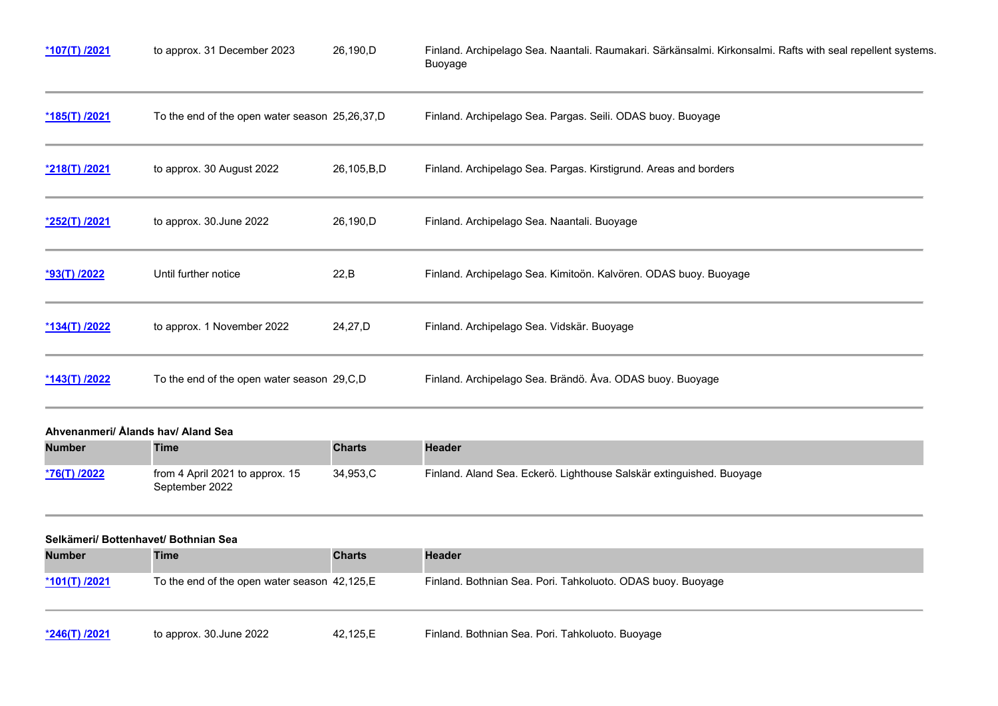| $*107(T)$ /2021      | to approx. 31 December 2023                    | 26,190,D   | Finland. Archipelago Sea. Naantali. Raumakari. Särkänsalmi. Kirkonsalmi. Rafts with seal repellent systems.<br>Buoyage |
|----------------------|------------------------------------------------|------------|------------------------------------------------------------------------------------------------------------------------|
| *185(T) /2021        | To the end of the open water season 25,26,37,D |            | Finland. Archipelago Sea. Pargas. Seili. ODAS buoy. Buoyage                                                            |
| <u>*218(T) /2021</u> | to approx. 30 August 2022                      | 26,105,B,D | Finland. Archipelago Sea. Pargas. Kirstigrund. Areas and borders                                                       |
| *252(T) /2021        | to approx. 30.June 2022                        | 26,190,D   | Finland. Archipelago Sea. Naantali. Buoyage                                                                            |
| <u>*93(T) /2022</u>  | Until further notice                           | 22, B      | Finland. Archipelago Sea. Kimitoön. Kalvören. ODAS buoy. Buoyage                                                       |
| *134(T) /2022        | to approx. 1 November 2022                     | 24,27,D    | Finland. Archipelago Sea. Vidskär. Buoyage                                                                             |
| <u>*143(T) /2022</u> | To the end of the open water season 29, C, D   |            | Finland. Archipelago Sea. Brändö. Åva. ODAS buoy. Buoyage                                                              |

# **Ahvenanmeri/ Ålands hav/ Aland Sea**

| <b>Number</b>       | <b>Time</b>                                       | <b>Charts</b> | <b>Header</b>                                                        |
|---------------------|---------------------------------------------------|---------------|----------------------------------------------------------------------|
| <u>*76(T) /2022</u> | from 4 April 2021 to approx. 15<br>September 2022 | 34.953.C      | Finland. Aland Sea. Eckerö. Lighthouse Salskär extinguished. Buoyage |

### **Selkämeri/ Bottenhavet/ Bothnian Sea**

 $\sim$ 

| <b>Number</b>        | Time                                          | <b>Charts</b> | <b>Header</b>                                               |
|----------------------|-----------------------------------------------|---------------|-------------------------------------------------------------|
| <u>*101(T) /2021</u> | To the end of the open water season 42,125, E |               | Finland. Bothnian Sea. Pori. Tahkoluoto. ODAS buoy. Buoyage |
| <u>*246(T) /2021</u> | to approx. 30.June 2022                       | 42.125.E      | Finland. Bothnian Sea. Pori. Tahkoluoto. Buoyage            |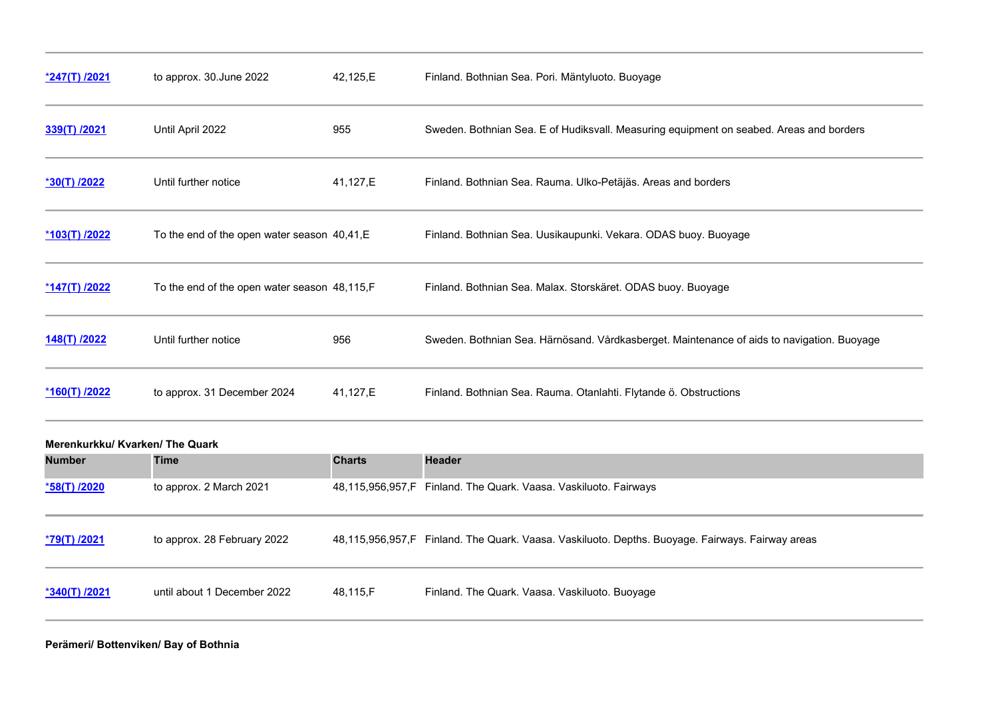| <u>*247(T) /2021</u> | to approx. 30. June 2022                     | 42,125,E | Finland. Bothnian Sea. Pori. Mäntyluoto. Buoyage                                           |
|----------------------|----------------------------------------------|----------|--------------------------------------------------------------------------------------------|
| 339(T) /2021         | Until April 2022                             | 955      | Sweden. Bothnian Sea. E of Hudiksvall. Measuring equipment on seabed. Areas and borders    |
| *30(T) /2022         | Until further notice                         | 41,127,E | Finland. Bothnian Sea. Rauma. Ulko-Petäjäs. Areas and borders                              |
| <u>*103(T) /2022</u> | To the end of the open water season 40,41,E  |          | Finland. Bothnian Sea. Uusikaupunki. Vekara. ODAS buoy. Buoyage                            |
| $*147(T)$ /2022      | To the end of the open water season 48,115,F |          | Finland. Bothnian Sea. Malax. Storskäret. ODAS buoy. Buoyage                               |
| 148(T) /2022         | Until further notice                         | 956      | Sweden. Bothnian Sea. Härnösand. Vårdkasberget. Maintenance of aids to navigation. Buoyage |
| *160(T) /2022        | to approx. 31 December 2024                  | 41,127,E | Finland. Bothnian Sea. Rauma. Otanlahti. Flytande ö. Obstructions                          |

| Merenkurkku/ Kvarken/ The Quark |                             |               |                                                                                                  |  |
|---------------------------------|-----------------------------|---------------|--------------------------------------------------------------------------------------------------|--|
| <b>Number</b>                   | <b>Time</b>                 | <b>Charts</b> | <b>Header</b>                                                                                    |  |
| *58(T) /2020                    | to approx. 2 March 2021     |               | 48,115,956,957,F Finland. The Quark. Vaasa. Vaskiluoto. Fairways                                 |  |
| <u>*79(T) /2021</u>             | to approx. 28 February 2022 |               | 48,115,956,957,F Finland. The Quark. Vaasa. Vaskiluoto. Depths. Buoyage. Fairways. Fairway areas |  |
| *340(T) /2021                   | until about 1 December 2022 | 48,115,F      | Finland. The Quark. Vaasa. Vaskiluoto. Buoyage                                                   |  |

**Perämeri/ Bottenviken/ Bay of Bothnia**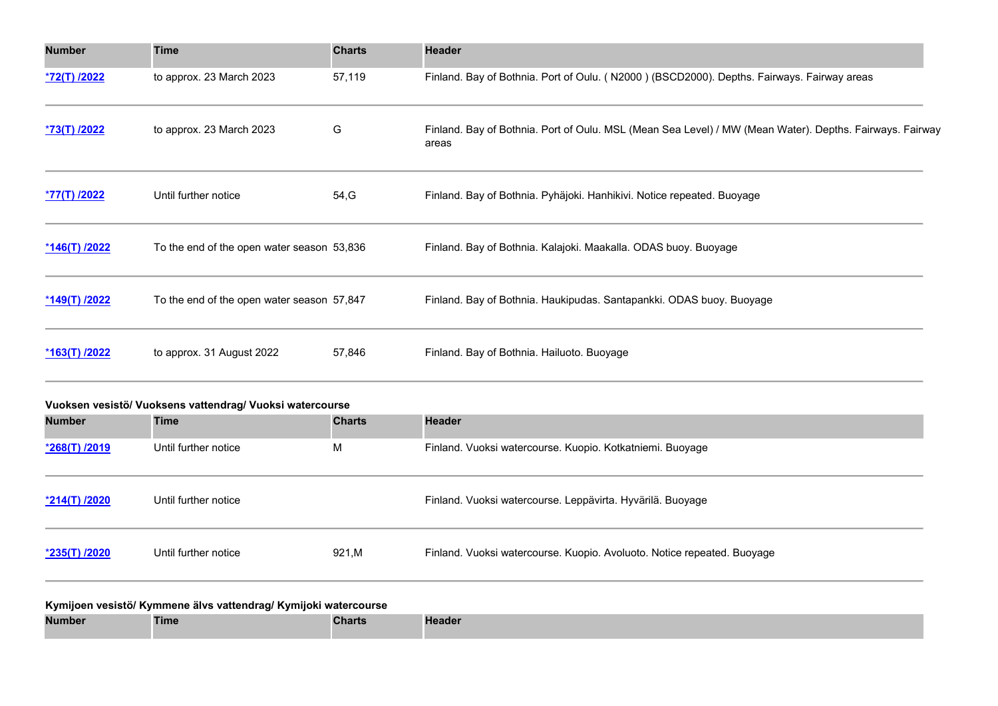| <b>Number</b> | <b>Time</b>                                | <b>Charts</b> | <b>Header</b>                                                                                                     |
|---------------|--------------------------------------------|---------------|-------------------------------------------------------------------------------------------------------------------|
| *72(T) /2022  | to approx. 23 March 2023                   | 57,119        | Finland. Bay of Bothnia. Port of Oulu. (N2000) (BSCD2000). Depths. Fairways. Fairway areas                        |
| *73(T) /2022  | to approx. 23 March 2023                   | G             | Finland. Bay of Bothnia. Port of Oulu. MSL (Mean Sea Level) / MW (Mean Water). Depths. Fairways. Fairway<br>areas |
| *77(T) /2022  | Until further notice                       | 54, G         | Finland. Bay of Bothnia. Pyhäjoki. Hanhikivi. Notice repeated. Buoyage                                            |
| *146(T) /2022 | To the end of the open water season 53,836 |               | Finland. Bay of Bothnia. Kalajoki. Maakalla. ODAS buoy. Buoyage                                                   |
| *149(T) /2022 | To the end of the open water season 57,847 |               | Finland. Bay of Bothnia. Haukipudas. Santapankki. ODAS buoy. Buoyage                                              |
| *163(T) /2022 | to approx. 31 August 2022                  | 57,846        | Finland. Bay of Bothnia. Hailuoto. Buoyage                                                                        |

| Vuoksen vesistö/ Vuoksens vattendrag/ Vuoksi watercourse        |                      |               |                                                                         |  |  |
|-----------------------------------------------------------------|----------------------|---------------|-------------------------------------------------------------------------|--|--|
| <b>Number</b>                                                   | <b>Time</b>          | <b>Charts</b> | <b>Header</b>                                                           |  |  |
| *268(T) /2019                                                   | Until further notice | M             | Finland. Vuoksi watercourse. Kuopio. Kotkatniemi. Buoyage               |  |  |
| <u>*214(T) /2020</u>                                            | Until further notice |               | Finland. Vuoksi watercourse. Leppävirta. Hyvärilä. Buoyage              |  |  |
| *235(T) /2020                                                   | Until further notice | 921,M         | Finland. Vuoksi watercourse. Kuopio. Avoluoto. Notice repeated. Buoyage |  |  |
| Kymijoen vesistö/ Kymmene älvs vattendrag/ Kymijoki watercourse |                      |               |                                                                         |  |  |

| <b>Number</b> | Time | <b>Charts</b> | <b>Header</b> |
|---------------|------|---------------|---------------|
|               |      |               |               |